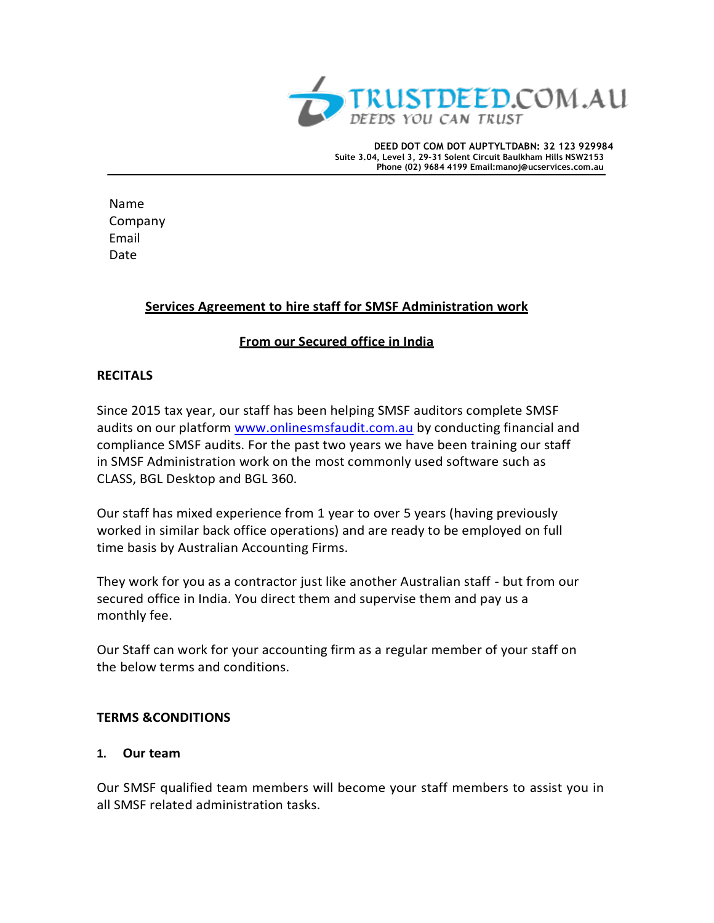

**DEED DOT COM DOT AUPTYLTDABN: 32 123 929984 Suite 3.04, Level 3, 29-31 Solent Circuit Baulkham Hills NSW2153 Phone (02) 9684 4199 Email[:manoj@ucservices.com.au](mailto:manoj@diysuperfund.com.au)**

Name Company Email Date

## **Services Agreement to hire staff for SMSF Administration work**

## **From our Secured office in India**

## **RECITALS**

Since 2015 tax year, our staff has been helping SMSF auditors complete SMSF audits on our platform [www.onlinesmsfaudit.com.au](http://www.onlinesmsfaudit.com.au/) by conducting financial and compliance SMSF audits. For the past two years we have been training our staff in SMSF Administration work on the most commonly used software such as CLASS, BGL Desktop and BGL 360.

Our staff has mixed experience from 1 year to over 5 years (having previously worked in similar back office operations) and are ready to be employed on full time basis by Australian Accounting Firms.

They work for you as a contractor just like another Australian staff - but from our secured office in India. You direct them and supervise them and pay us a monthly fee.

Our Staff can work for your accounting firm as a regular member of your staff on the below terms and conditions.

### **TERMS &CONDITIONS**

### **1. Our team**

Our SMSF qualified team members will become your staff members to assist you in all SMSF related administration tasks.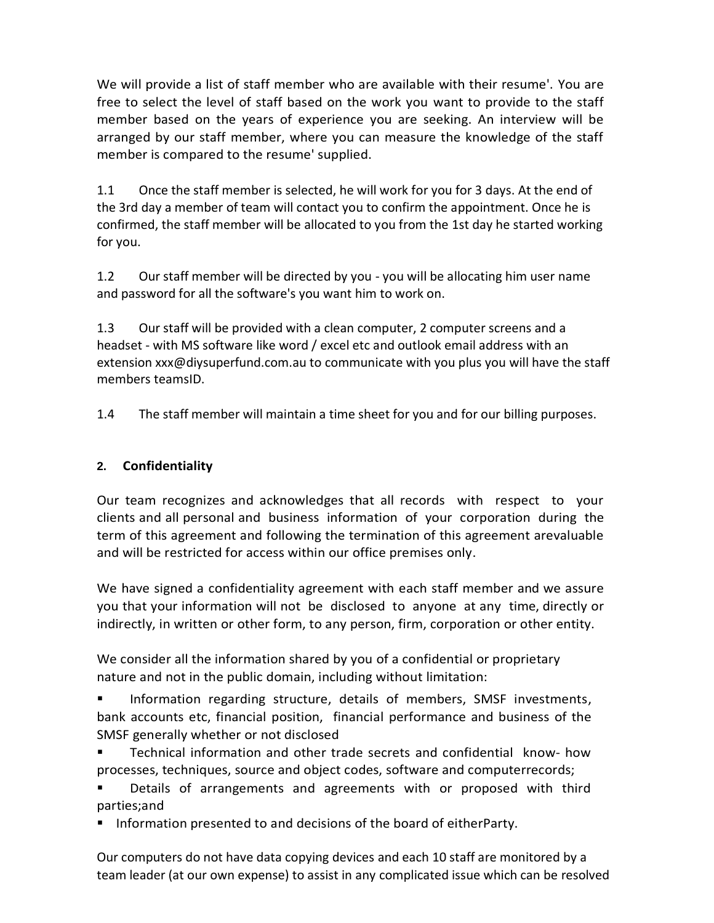We will provide a list of staff member who are available with their resume'. You are free to select the level of staff based on the work you want to provide to the staff member based on the years of experience you are seeking. An interview will be arranged by our staff member, where you can measure the knowledge of the staff member is compared to the resume' supplied.

1.1 Once the staff member is selected, he will work for you for 3 days. At the end of the 3rd day a member of team will contact you to confirm the appointment. Once he is confirmed, the staff member will be allocated to you from the 1st day he started working for you.

1.2 Our staff member will be directed by you - you will be allocating him user name and password for all the software's you want him to work on.

1.3 Our staff will be provided with a clean computer, 2 computer screens and a headset - with MS software like word / excel etc and outlook email address with an extension xxx@diysuperfund.com.au to communicate with you plus you will have the staff members teamsID.

1.4 The staff member will maintain a time sheet for you and for our billing purposes.

# **2. Confidentiality**

Our team recognizes and acknowledges that all records with respect to your clients and all personal and business information of your corporation during the term of this agreement and following the termination of this agreement arevaluable and will be restricted for access within our office premises only.

We have signed a confidentiality agreement with each staff member and we assure you that your information will not be disclosed to anyone at any time, directly or indirectly, in written or other form, to any person, firm, corporation or other entity.

We consider all the information shared by you of a confidential or proprietary nature and not in the public domain, including without limitation:

**Information regarding structure, details of members, SMSF investments,** bank accounts etc, financial position, financial performance and business of the SMSF generally whether or not disclosed

 Technical information and other trade secrets and confidential know- how processes, techniques, source and object codes, software and computerrecords;

 Details of arrangements and agreements with or proposed with third parties;and

**Information presented to and decisions of the board of eitherParty.** 

Our computers do not have data copying devices and each 10 staff are monitored by a team leader (at our own expense) to assist in any complicated issue which can be resolved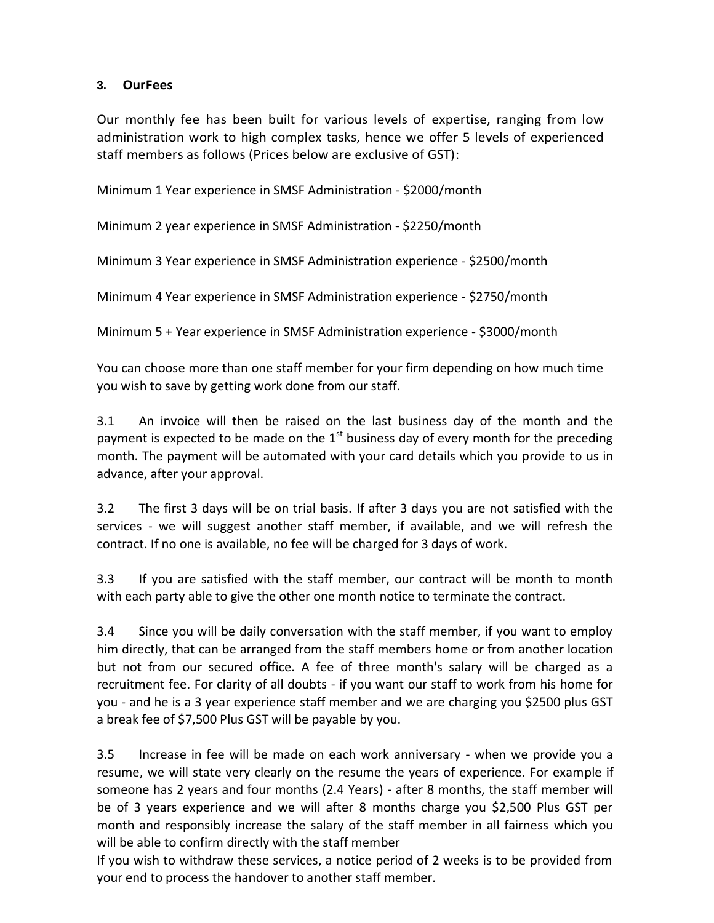### **3. OurFees**

Our monthly fee has been built for various levels of expertise, ranging from low administration work to high complex tasks, hence we offer 5 levels of experienced staff members as follows (Prices below are exclusive of GST):

Minimum 1 Year experience in SMSF Administration - \$2000/month

Minimum 2 year experience in SMSF Administration - \$2250/month

Minimum 3 Year experience in SMSF Administration experience - \$2500/month

Minimum 4 Year experience in SMSF Administration experience - \$2750/month

Minimum 5 + Year experience in SMSF Administration experience - \$3000/month

You can choose more than one staff member for your firm depending on how much time you wish to save by getting work done from our staff.

3.1 An invoice will then be raised on the last business day of the month and the payment is expected to be made on the  $1<sup>st</sup>$  business day of every month for the preceding month. The payment will be automated with your card details which you provide to us in advance, after your approval.

3.2 The first 3 days will be on trial basis. If after 3 days you are not satisfied with the services - we will suggest another staff member, if available, and we will refresh the contract. If no one is available, no fee will be charged for 3 days of work.

3.3 If you are satisfied with the staff member, our contract will be month to month with each party able to give the other one month notice to terminate the contract.

3.4 Since you will be daily conversation with the staff member, if you want to employ him directly, that can be arranged from the staff members home or from another location but not from our secured office. A fee of three month's salary will be charged as a recruitment fee. For clarity of all doubts - if you want our staff to work from his home for you - and he is a 3 year experience staff member and we are charging you \$2500 plus GST a break fee of \$7,500 Plus GST will be payable by you.

3.5 Increase in fee will be made on each work anniversary - when we provide you a resume, we will state very clearly on the resume the years of experience. For example if someone has 2 years and four months (2.4 Years) - after 8 months, the staff member will be of 3 years experience and we will after 8 months charge you \$2,500 Plus GST per month and responsibly increase the salary of the staff member in all fairness which you will be able to confirm directly with the staff member

If you wish to withdraw these services, a notice period of 2 weeks is to be provided from your end to process the handover to another staff member.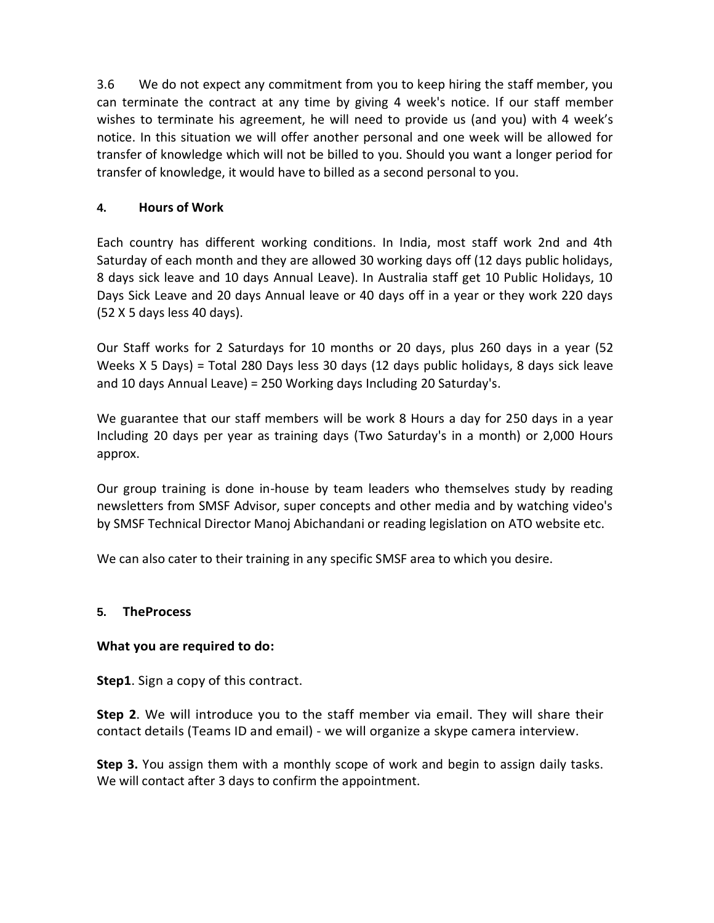3.6 We do not expect any commitment from you to keep hiring the staff member, you can terminate the contract at any time by giving 4 week's notice. If our staff member wishes to terminate his agreement, he will need to provide us (and you) with 4 week's notice. In this situation we will offer another personal and one week will be allowed for transfer of knowledge which will not be billed to you. Should you want a longer period for transfer of knowledge, it would have to billed as a second personal to you.

## **4. Hours of Work**

Each country has different working conditions. In India, most staff work 2nd and 4th Saturday of each month and they are allowed 30 working days off (12 days public holidays, 8 days sick leave and 10 days Annual Leave). In Australia staff get 10 Public Holidays, 10 Days Sick Leave and 20 days Annual leave or 40 days off in a year or they work 220 days (52 X 5 days less 40 days).

Our Staff works for 2 Saturdays for 10 months or 20 days, plus 260 days in a year (52 Weeks X 5 Days) = Total 280 Days less 30 days (12 days public holidays, 8 days sick leave and 10 days Annual Leave) = 250 Working days Including 20 Saturday's.

We guarantee that our staff members will be work 8 Hours a day for 250 days in a year Including 20 days per year as training days (Two Saturday's in a month) or 2,000 Hours approx.

Our group training is done in-house by team leaders who themselves study by reading newsletters from SMSF Advisor, super concepts and other media and by watching video's by SMSF Technical Director Manoj Abichandani or reading legislation on ATO website etc.

We can also cater to their training in any specific SMSF area to which you desire.

### **5. TheProcess**

### **What you are required to do:**

**Step1**. Sign a copy of this contract.

**Step 2**. We will introduce you to the staff member via email. They will share their contact details (Teams ID and email) - we will organize a skype camera interview.

**Step 3.** You assign them with a monthly scope of work and begin to assign daily tasks. We will contact after 3 days to confirm the appointment.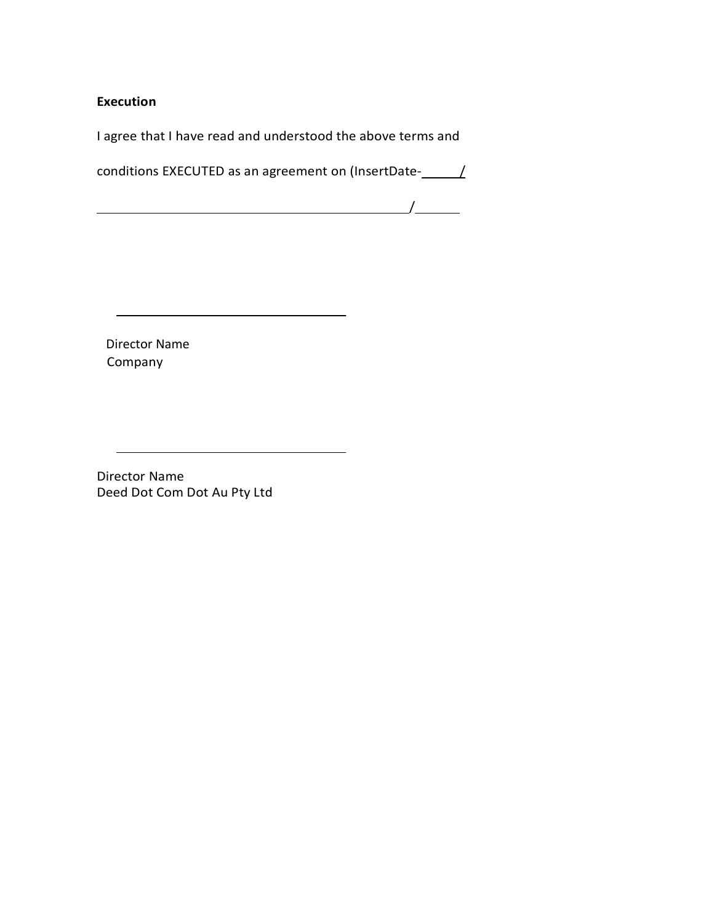**Execution**

I agree that I have read and understood the above terms and

conditions EXECUTED as an agreement on (InsertDate- $\angle$ 

 $\overline{\phantom{a}}$  /  $\overline{\phantom{a}}$  /  $\overline{\phantom{a}}$  /  $\overline{\phantom{a}}$  /  $\overline{\phantom{a}}$  /  $\overline{\phantom{a}}$  /  $\overline{\phantom{a}}$  /  $\overline{\phantom{a}}$  /  $\overline{\phantom{a}}$  /  $\overline{\phantom{a}}$  /  $\overline{\phantom{a}}$  /  $\overline{\phantom{a}}$  /  $\overline{\phantom{a}}$  /  $\overline{\phantom{a}}$  /  $\overline{\phantom{a}}$  /  $\overline{\phantom{a}}$ 

 Director Name Company

Director Name Deed Dot Com Dot Au Pty Ltd

<u> 1980 - Andrea Barbara, poeta esperanto-poeta esperanto-poeta esperanto-poeta esperanto-poeta esperanto-poeta</u>